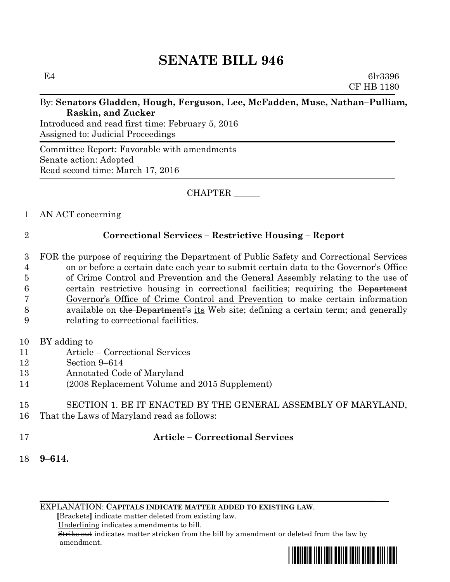# **SENATE BILL 946**

E4 6lr3396 CF HB 1180

#### By: **Senators Gladden, Hough, Ferguson, Lee, McFadden, Muse, Nathan–Pulliam, Raskin, and Zucker**

Introduced and read first time: February 5, 2016 Assigned to: Judicial Proceedings

Committee Report: Favorable with amendments Senate action: Adopted Read second time: March 17, 2016

CHAPTER \_\_\_\_\_\_

## 1 AN ACT concerning

# 2 **Correctional Services – Restrictive Housing – Report**

- 3 FOR the purpose of requiring the Department of Public Safety and Correctional Services 4 on or before a certain date each year to submit certain data to the Governor's Office 5 of Crime Control and Prevention and the General Assembly relating to the use of 6 certain restrictive housing in correctional facilities; requiring the Department 7 Governor's Office of Crime Control and Prevention to make certain information 8 available on the Department's its Web site; defining a certain term; and generally 9 relating to correctional facilities.
- 10 BY adding to
- 11 Article Correctional Services
- 12 Section 9–614
- 13 Annotated Code of Maryland
- 14 (2008 Replacement Volume and 2015 Supplement)

#### 15 SECTION 1. BE IT ENACTED BY THE GENERAL ASSEMBLY OF MARYLAND, 16 That the Laws of Maryland read as follows:

## 17 **Article – Correctional Services**

18 **9–614.**

EXPLANATION: **CAPITALS INDICATE MATTER ADDED TO EXISTING LAW**.

 **[**Brackets**]** indicate matter deleted from existing law.

Underlining indicates amendments to bill.

 Strike out indicates matter stricken from the bill by amendment or deleted from the law by amendment.

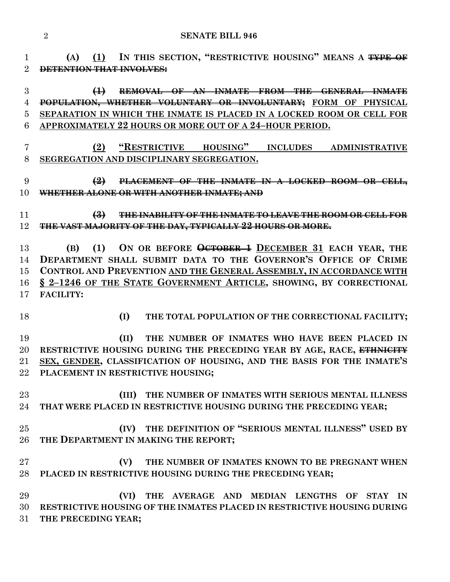**(A) (1) IN THIS SECTION, "RESTRICTIVE HOUSING" MEANS A TYPE OF DETENTION THAT INVOLVES:**

## **(1) REMOVAL OF AN INMATE FROM THE GENERAL INMATE POPULATION, WHETHER VOLUNTARY OR INVOLUNTARY; FORM OF PHYSICAL SEPARATION IN WHICH THE INMATE IS PLACED IN A LOCKED ROOM OR CELL FOR APPROXIMATELY 22 HOURS OR MORE OUT OF A 24–HOUR PERIOD.**

- **(2) "RESTRICTIVE HOUSING" INCLUDES ADMINISTRATIVE SEGREGATION AND DISCIPLINARY SEGREGATION.**
- **(2) PLACEMENT OF THE INMATE IN A LOCKED ROOM OR CELL, WHETHER ALONE OR WITH ANOTHER INMATE; AND**
- **(3) THE INABILITY OF THE INMATE TO LEAVE THE ROOM OR CELL FOR THE VAST MAJORITY OF THE DAY, TYPICALLY 22 HOURS OR MORE.**

 **(B) (1) ON OR BEFORE OCTOBER 1 DECEMBER 31 EACH YEAR, THE DEPARTMENT SHALL SUBMIT DATA TO THE GOVERNOR'S OFFICE OF CRIME CONTROL AND PREVENTION AND THE GENERAL ASSEMBLY, IN ACCORDANCE WITH § 2–1246 OF THE STATE GOVERNMENT ARTICLE, SHOWING, BY CORRECTIONAL FACILITY:**

- 
- **(I) THE TOTAL POPULATION OF THE CORRECTIONAL FACILITY;**

 **(II) THE NUMBER OF INMATES WHO HAVE BEEN PLACED IN RESTRICTIVE HOUSING DURING THE PRECEDING YEAR BY AGE, RACE, ETHNICITY SEX, GENDER, CLASSIFICATION OF HOUSING, AND THE BASIS FOR THE INMATE'S PLACEMENT IN RESTRICTIVE HOUSING;**

 **(III) THE NUMBER OF INMATES WITH SERIOUS MENTAL ILLNESS THAT WERE PLACED IN RESTRICTIVE HOUSING DURING THE PRECEDING YEAR;**

- **(IV) THE DEFINITION OF "SERIOUS MENTAL ILLNESS" USED BY THE DEPARTMENT IN MAKING THE REPORT;**
- **(V) THE NUMBER OF INMATES KNOWN TO BE PREGNANT WHEN PLACED IN RESTRICTIVE HOUSING DURING THE PRECEDING YEAR;**
- **(VI) THE AVERAGE AND MEDIAN LENGTHS OF STAY IN RESTRICTIVE HOUSING OF THE INMATES PLACED IN RESTRICTIVE HOUSING DURING THE PRECEDING YEAR;**